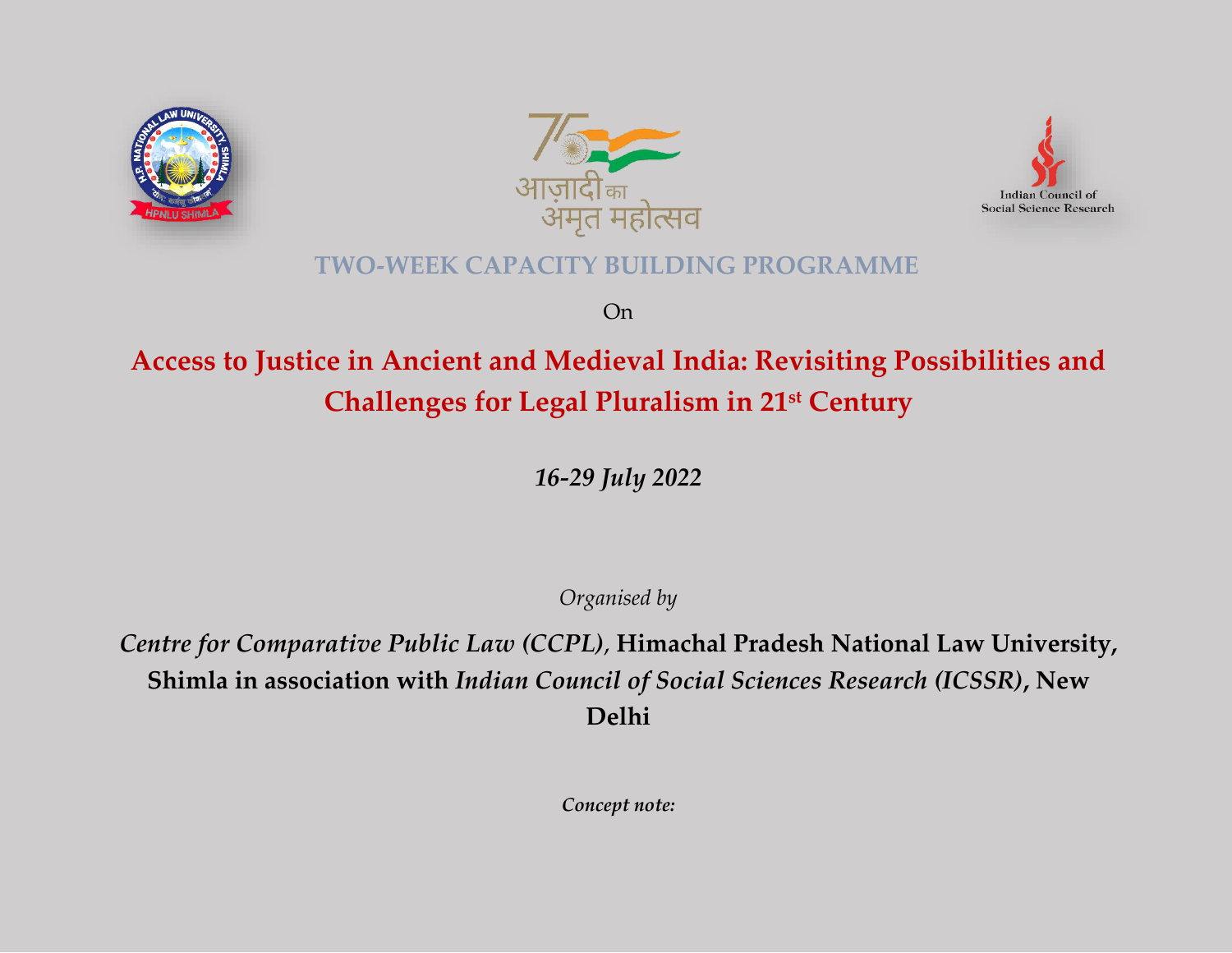





# **TWO-WEEK CAPACITY BUILDING PROGRAMME**

On

# **Access to Justice in Ancient and Medieval India: Revisiting Possibilities and Challenges for Legal Pluralism in 21st Century**

*16-29 July 2022*

*Organised by*

*Centre for Comparative Public Law (CCPL)*, **Himachal Pradesh National Law University, Shimla in association with** *Indian Council of Social Sciences Research (ICSSR)***, New Delhi**

*Concept note:*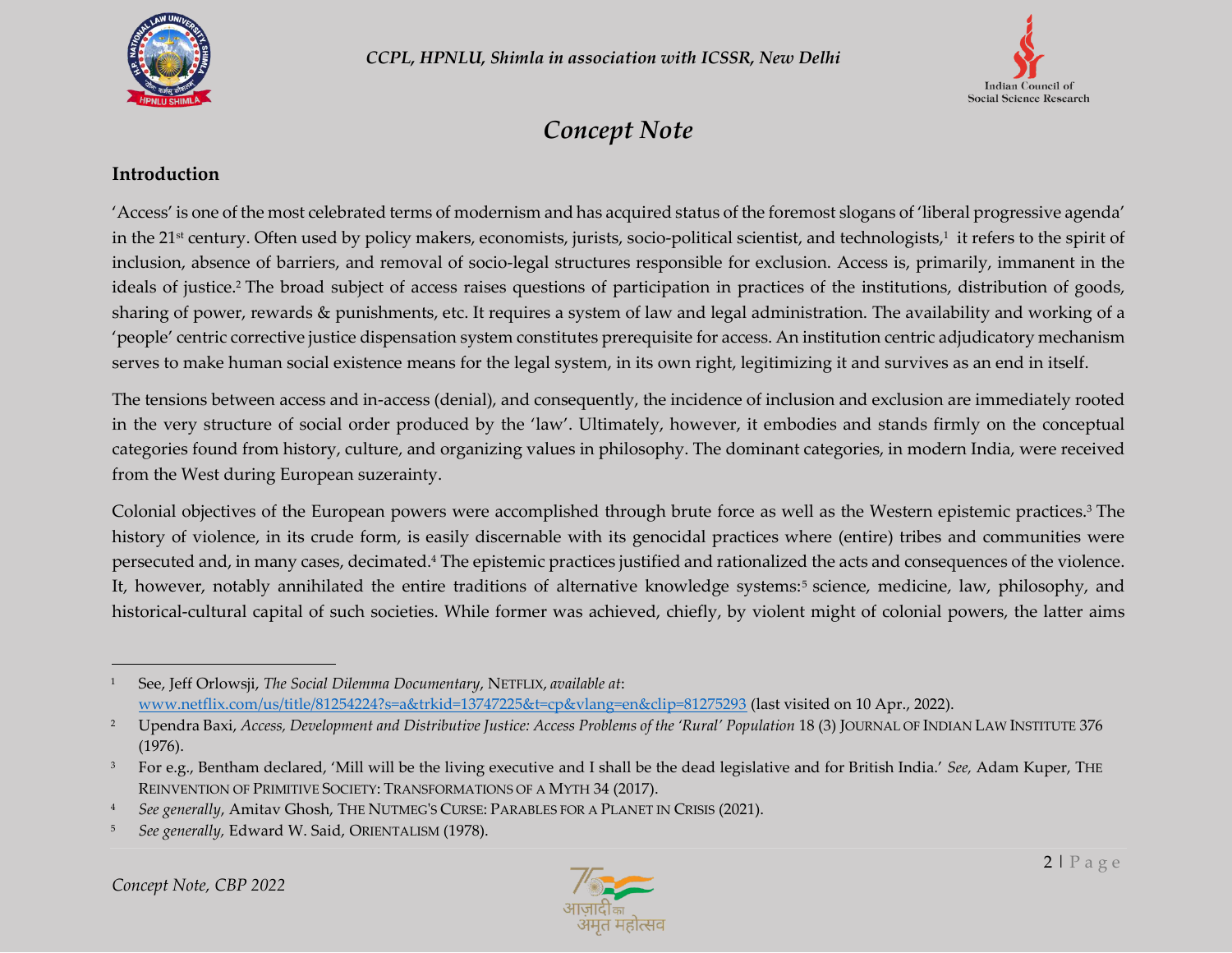



# *Concept Note*

#### **Introduction**

'Access' is one of the most celebrated terms of modernism and has acquired status of the foremost slogans of 'liberal progressive agenda' in the 21st century. Often used by policy makers, economists, jurists, socio-political scientist, and technologists,<sup>1</sup> it refers to the spirit of inclusion, absence of barriers, and removal of socio-legal structures responsible for exclusion. Access is, primarily, immanent in the ideals of justice.<sup>2</sup> The broad subject of access raises questions of participation in practices of the institutions, distribution of goods, sharing of power, rewards & punishments, etc. It requires a system of law and legal administration. The availability and working of a 'people' centric corrective justice dispensation system constitutes prerequisite for access. An institution centric adjudicatory mechanism serves to make human social existence means for the legal system, in its own right, legitimizing it and survives as an end in itself.

The tensions between access and in-access (denial), and consequently, the incidence of inclusion and exclusion are immediately rooted in the very structure of social order produced by the 'law'. Ultimately, however, it embodies and stands firmly on the conceptual categories found from history, culture, and organizing values in philosophy. The dominant categories, in modern India, were received from the West during European suzerainty.

Colonial objectives of the European powers were accomplished through brute force as well as the Western epistemic practices.<sup>3</sup> The history of violence, in its crude form, is easily discernable with its genocidal practices where (entire) tribes and communities were persecuted and, in many cases, decimated.<sup>4</sup> The epistemic practices justified and rationalized the acts and consequences of the violence. It, however, notably annihilated the entire traditions of alternative knowledge systems:<sup>5</sup> science, medicine, law, philosophy, and historical-cultural capital of such societies. While former was achieved, chiefly, by violent might of colonial powers, the latter aims



<sup>1</sup> See, Jeff Orlowsji, *The Social Dilemma Documentary*, NETFLIX, *available at*: [www.netflix.com/us/title/81254224?s=a&trkid=13747225&t=cp&vlang=en&clip=81275293](http://www.netflix.com/us/title/81254224?s=a&trkid=13747225&t=cp&vlang=en&clip=81275293) (last visited on 10 Apr., 2022).

<sup>&</sup>lt;sup>2</sup> Upendra Baxi, *Access, Development and Distributive Justice: Access Problems of the 'Rural' Population* 18 (3) JOURNAL OF INDIAN LAW INSTITUTE 376 (1976).

<sup>3</sup> For e.g., Bentham declared, 'Mill will be the living executive and I shall be the dead legislative and for British India.' *See,* Adam Kuper, THE REINVENTION OF PRIMITIVE SOCIETY: TRANSFORMATIONS OF A MYTH 34 (2017).

<sup>4</sup> *See generally*, Amitav Ghosh, THE NUTMEG'S CURSE: PARABLES FOR A PLANET IN CRISIS (2021).

<sup>5</sup> *See generally,* Edward W. Said, ORIENTALISM (1978).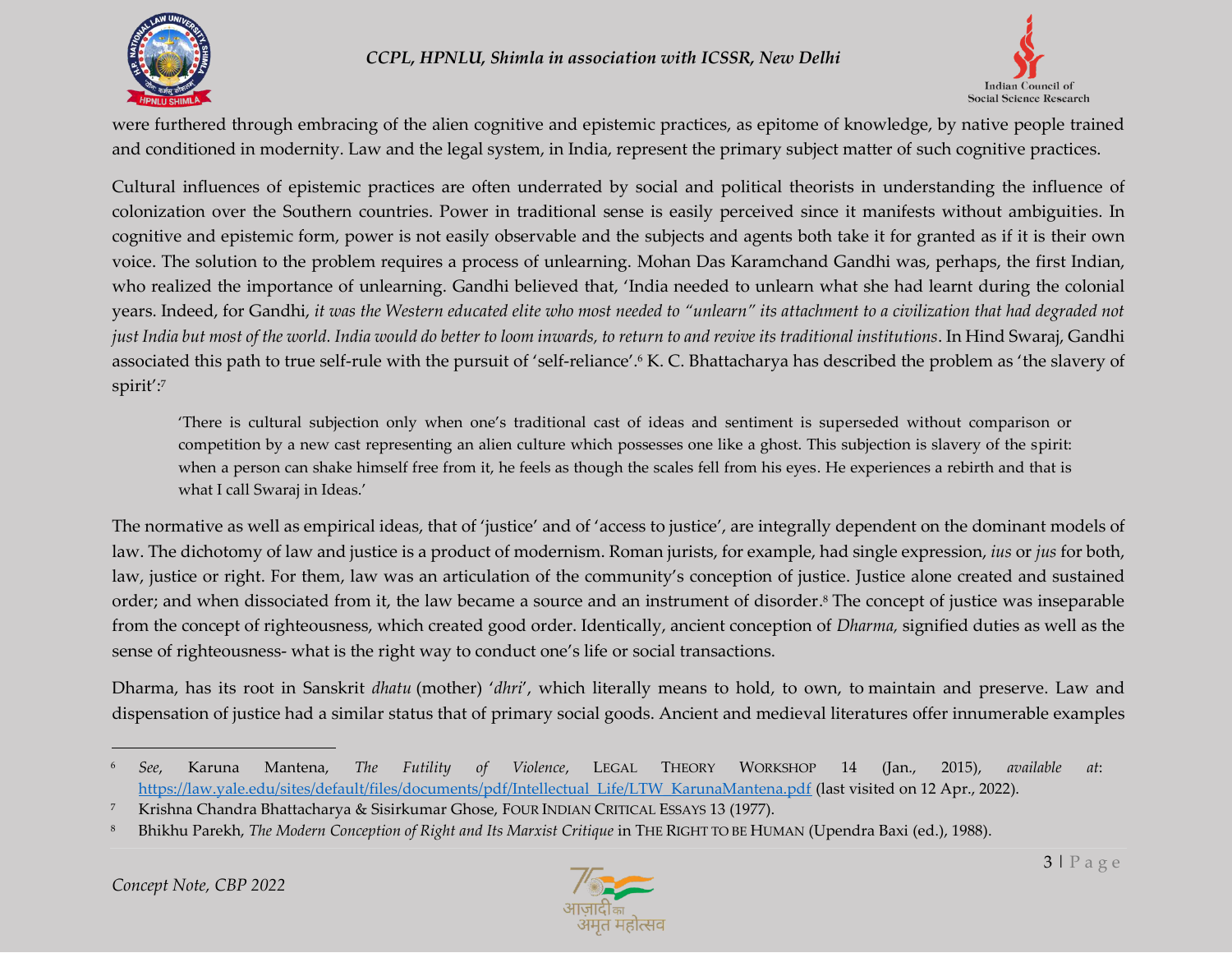



were furthered through embracing of the alien cognitive and epistemic practices, as epitome of knowledge, by native people trained and conditioned in modernity. Law and the legal system, in India, represent the primary subject matter of such cognitive practices.

Cultural influences of epistemic practices are often underrated by social and political theorists in understanding the influence of colonization over the Southern countries. Power in traditional sense is easily perceived since it manifests without ambiguities. In cognitive and epistemic form, power is not easily observable and the subjects and agents both take it for granted as if it is their own voice. The solution to the problem requires a process of unlearning. Mohan Das Karamchand Gandhi was, perhaps, the first Indian, who realized the importance of unlearning. Gandhi believed that, 'India needed to unlearn what she had learnt during the colonial years. Indeed, for Gandhi, *it was the Western educated elite who most needed to "unlearn" its attachment to a civilization that had degraded not just India but most of the world. India would do better to loom inwards, to return to and revive its traditional institutions*. In Hind Swaraj, Gandhi associated this path to true self-rule with the pursuit of 'self-reliance'.<sup>6</sup> K. C. Bhattacharya has described the problem as 'the slavery of spirit':<sup>7</sup>

'There is cultural subjection only when one's traditional cast of ideas and sentiment is superseded without comparison or competition by a new cast representing an alien culture which possesses one like a ghost. This subjection is slavery of the spirit: when a person can shake himself free from it, he feels as though the scales fell from his eyes. He experiences a rebirth and that is what I call Swaraj in Ideas.'

The normative as well as empirical ideas, that of 'justice' and of 'access to justice', are integrally dependent on the dominant models of law. The dichotomy of law and justice is a product of modernism. Roman jurists, for example, had single expression, *ius* or *jus* for both, law, justice or right. For them, law was an articulation of the community's conception of justice. Justice alone created and sustained order; and when dissociated from it, the law became a source and an instrument of disorder. <sup>8</sup> The concept of justice was inseparable from the concept of righteousness, which created good order. Identically, ancient conception of *Dharma,* signified duties as well as the sense of righteousness- what is the right way to conduct one's life or social transactions.

Dharma, has its root in Sanskrit *dhatu* (mother) '*dhri*', which literally means to hold, to own, to maintain and preserve. Law and dispensation of justice had a similar status that of primary social goods. Ancient and medieval literatures offer innumerable examples



<sup>6</sup> *See*, Karuna Mantena, *The Futility of Violence*, LEGAL THEORY WORKSHOP 14 (Jan., 2015), *available at*: [https://law.yale.edu/sites/default/files/documents/pdf/Intellectual\\_Life/LTW\\_KarunaMantena.pdf](https://law.yale.edu/sites/default/files/documents/pdf/Intellectual_Life/LTW_KarunaMantena.pdf) (last visited on 12 Apr., 2022).

<sup>7</sup> Krishna Chandra Bhattacharya & Sisirkumar Ghose, FOUR INDIAN CRITICAL ESSAYS 13 (1977).

<sup>8</sup> Bhikhu Parekh, *The Modern Conception of Right and Its Marxist Critique* in THE RIGHT TO BE HUMAN (Upendra Baxi (ed.), 1988).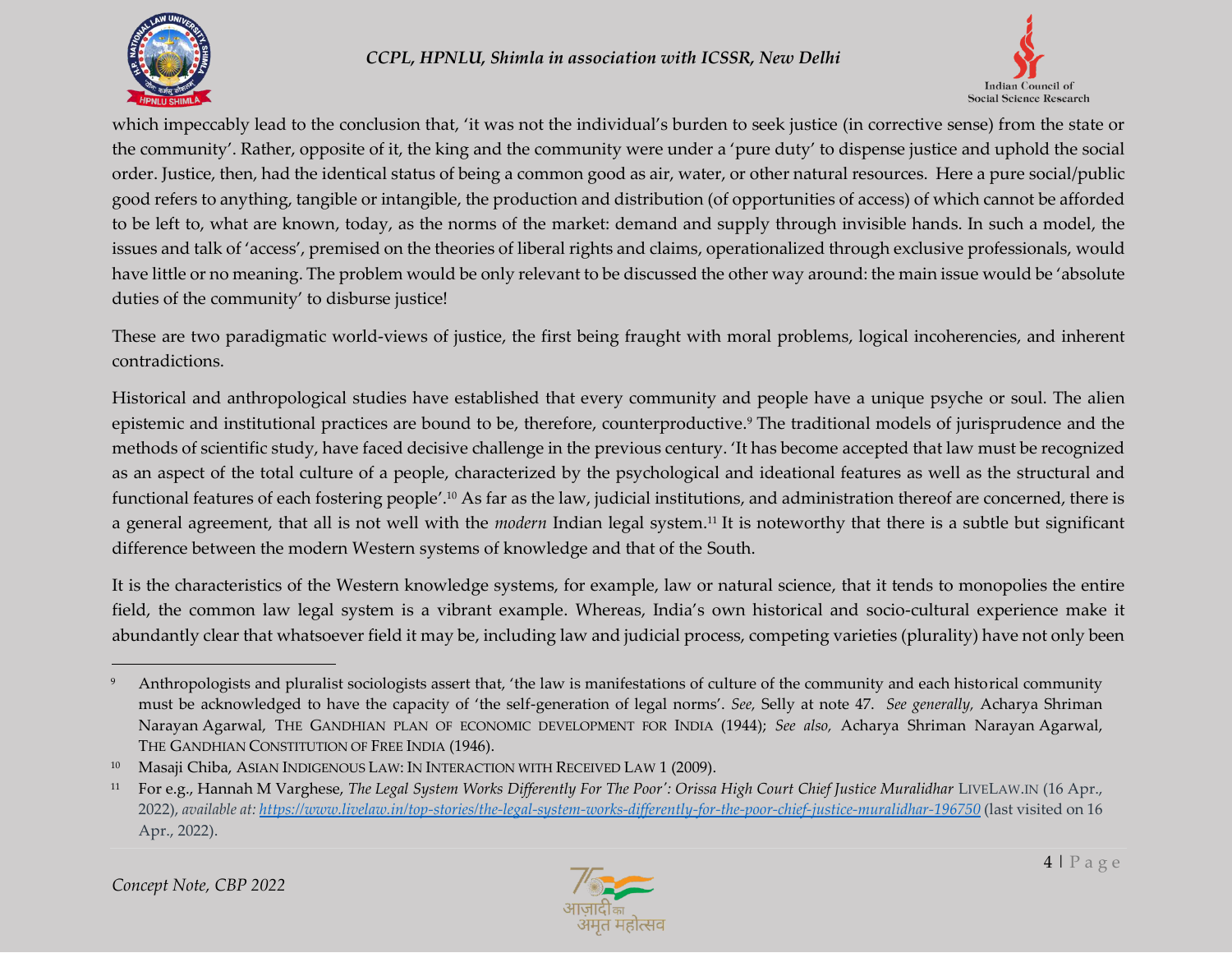



which impeccably lead to the conclusion that, 'it was not the individual's burden to seek justice (in corrective sense) from the state or the community'. Rather, opposite of it, the king and the community were under a 'pure duty' to dispense justice and uphold the social order. Justice, then, had the identical status of being a common good as air, water, or other natural resources. Here a pure social/public good refers to anything, tangible or intangible, the production and distribution (of opportunities of access) of which cannot be afforded to be left to, what are known, today, as the norms of the market: demand and supply through invisible hands. In such a model, the issues and talk of 'access', premised on the theories of liberal rights and claims, operationalized through exclusive professionals, would have little or no meaning. The problem would be only relevant to be discussed the other way around: the main issue would be 'absolute duties of the community' to disburse justice!

These are two paradigmatic world-views of justice, the first being fraught with moral problems, logical incoherencies, and inherent contradictions.

Historical and anthropological studies have established that every community and people have a unique psyche or soul. The alien epistemic and institutional practices are bound to be, therefore, counterproductive.<sup>9</sup> The traditional models of jurisprudence and the methods of scientific study, have faced decisive challenge in the previous century. 'It has become accepted that law must be recognized as an aspect of the total culture of a people, characterized by the psychological and ideational features as well as the structural and functional features of each fostering people'. <sup>10</sup> As far as the law, judicial institutions, and administration thereof are concerned, there is a general agreement, that all is not well with the *modern* Indian legal system.<sup>11</sup> It is noteworthy that there is a subtle but significant difference between the modern Western systems of knowledge and that of the South.

It is the characteristics of the Western knowledge systems, for example, law or natural science, that it tends to monopolies the entire field, the common law legal system is a vibrant example. Whereas, India's own historical and socio-cultural experience make it abundantly clear that whatsoever field it may be, including law and judicial process, competing varieties (plurality) have not only been



<sup>9</sup> Anthropologists and pluralist sociologists assert that, 'the law is manifestations of culture of the community and each historical community must be acknowledged to have the capacity of 'the self-generation of legal norms'. *See,* Selly at note 47. *See generally,* Acharya Shriman Narayan Agarwal, THE GANDHIAN PLAN OF ECONOMIC DEVELOPMENT FOR INDIA (1944); *See also,* Acharya Shriman Narayan Agarwal, THE GANDHIAN CONSTITUTION OF FREE INDIA (1946).

<sup>&</sup>lt;sup>10</sup> Masaji Chiba, ASIAN INDIGENOUS LAW: IN INTERACTION WITH RECEIVED LAW 1 (2009).

<sup>11</sup> For e.g., Hannah M Varghese, *The Legal System Works Differently For The Poor': Orissa High Court Chief Justice Muralidhar* LIVELAW.IN (16 Apr., 2022), *available at[: https://www.livelaw.in/top-stories/the-legal-system-works-differently-for-the-poor-chief-justice-muralidhar-196750](https://www.livelaw.in/top-stories/the-legal-system-works-differently-for-the-poor-chief-justice-muralidhar-196750)* (last visited on 16 Apr., 2022).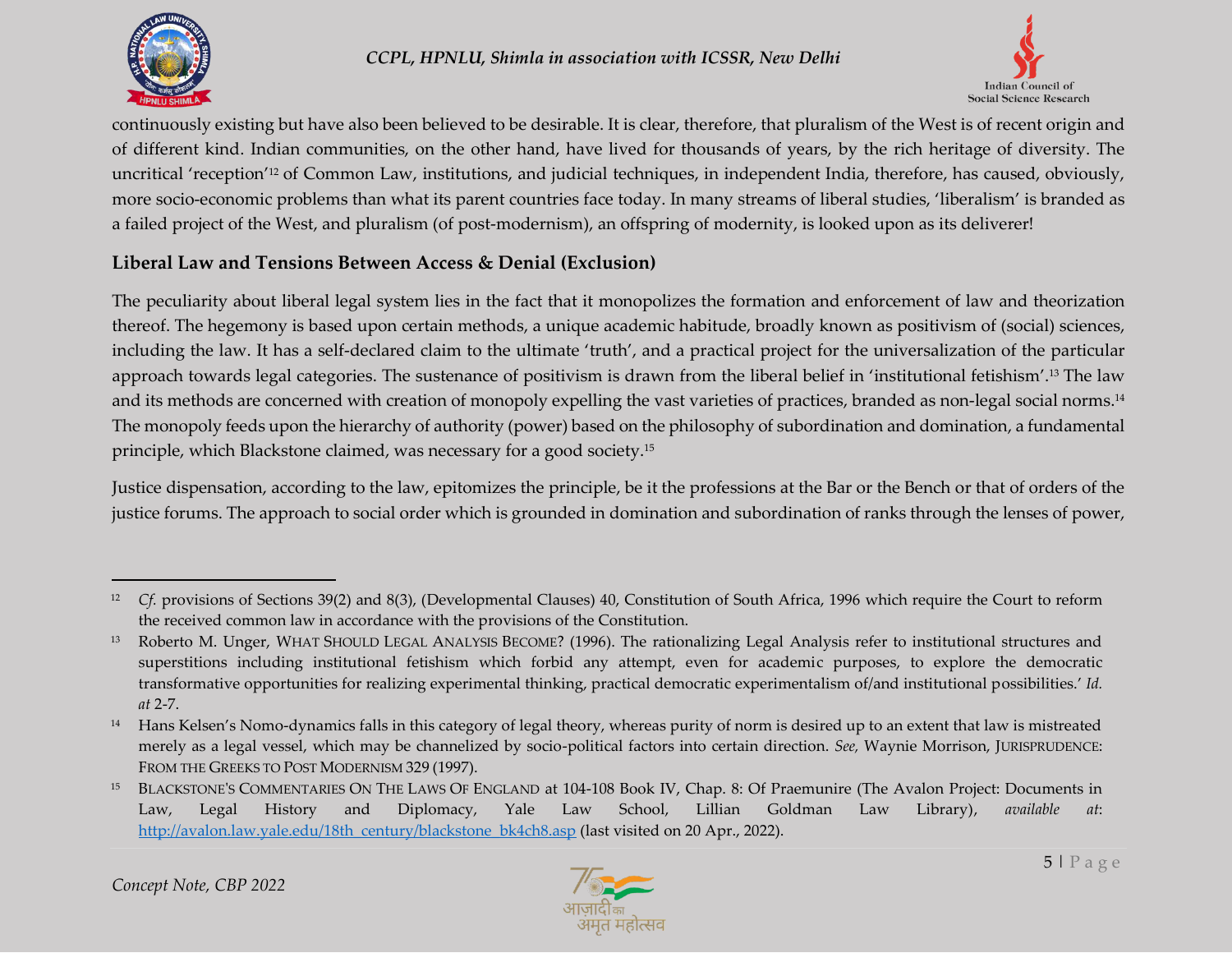



continuously existing but have also been believed to be desirable. It is clear, therefore, that pluralism of the West is of recent origin and of different kind. Indian communities, on the other hand, have lived for thousands of years, by the rich heritage of diversity. The uncritical 'reception'<sup>12</sup> of Common Law, institutions, and judicial techniques, in independent India, therefore, has caused, obviously, more socio-economic problems than what its parent countries face today. In many streams of liberal studies, 'liberalism' is branded as a failed project of the West, and pluralism (of post-modernism), an offspring of modernity, is looked upon as its deliverer!

## **Liberal Law and Tensions Between Access & Denial (Exclusion)**

The peculiarity about liberal legal system lies in the fact that it monopolizes the formation and enforcement of law and theorization thereof. The hegemony is based upon certain methods, a unique academic habitude, broadly known as positivism of (social) sciences, including the law. It has a self-declared claim to the ultimate 'truth', and a practical project for the universalization of the particular approach towards legal categories. The sustenance of positivism is drawn from the liberal belief in 'institutional fetishism'. <sup>13</sup> The law and its methods are concerned with creation of monopoly expelling the vast varieties of practices, branded as non-legal social norms. 14 The monopoly feeds upon the hierarchy of authority (power) based on the philosophy of subordination and domination, a fundamental principle, which Blackstone claimed, was necessary for a good society.<sup>15</sup>

Justice dispensation, according to the law, epitomizes the principle, be it the professions at the Bar or the Bench or that of orders of the justice forums. The approach to social order which is grounded in domination and subordination of ranks through the lenses of power,



<sup>12</sup> *Cf.* provisions of Sections 39(2) and 8(3), (Developmental Clauses) 40, Constitution of South Africa, 1996 which require the Court to reform the received common law in accordance with the provisions of the Constitution.

<sup>13</sup> Roberto M. Unger, WHAT SHOULD LEGAL ANALYSIS BECOME? (1996). The rationalizing Legal Analysis refer to institutional structures and superstitions including institutional fetishism which forbid any attempt, even for academic purposes, to explore the democratic transformative opportunities for realizing experimental thinking, practical democratic experimentalism of/and institutional possibilities.' *Id. at* 2-7.

<sup>&</sup>lt;sup>14</sup> Hans Kelsen's Nomo-dynamics falls in this category of legal theory, whereas purity of norm is desired up to an extent that law is mistreated merely as a legal vessel, which may be channelized by socio-political factors into certain direction. *See,* Waynie Morrison, JURISPRUDENCE: FROM THE GREEKS TO POST MODERNISM 329 (1997).

<sup>15</sup> BLACKSTONE'S COMMENTARIES ON THE LAWS OF ENGLAND at 104-108 Book IV, Chap. 8: Of Praemunire (The Avalon Project: Documents in Law, Legal History and Diplomacy, Yale Law School, Lillian Goldman Law Library), *available at*: [http://avalon.law.yale.edu/18th\\_century/blackstone\\_bk4ch8.asp](http://avalon.law.yale.edu/18th_century/blackstone_bk4ch8.asp) (last visited on 20 Apr., 2022).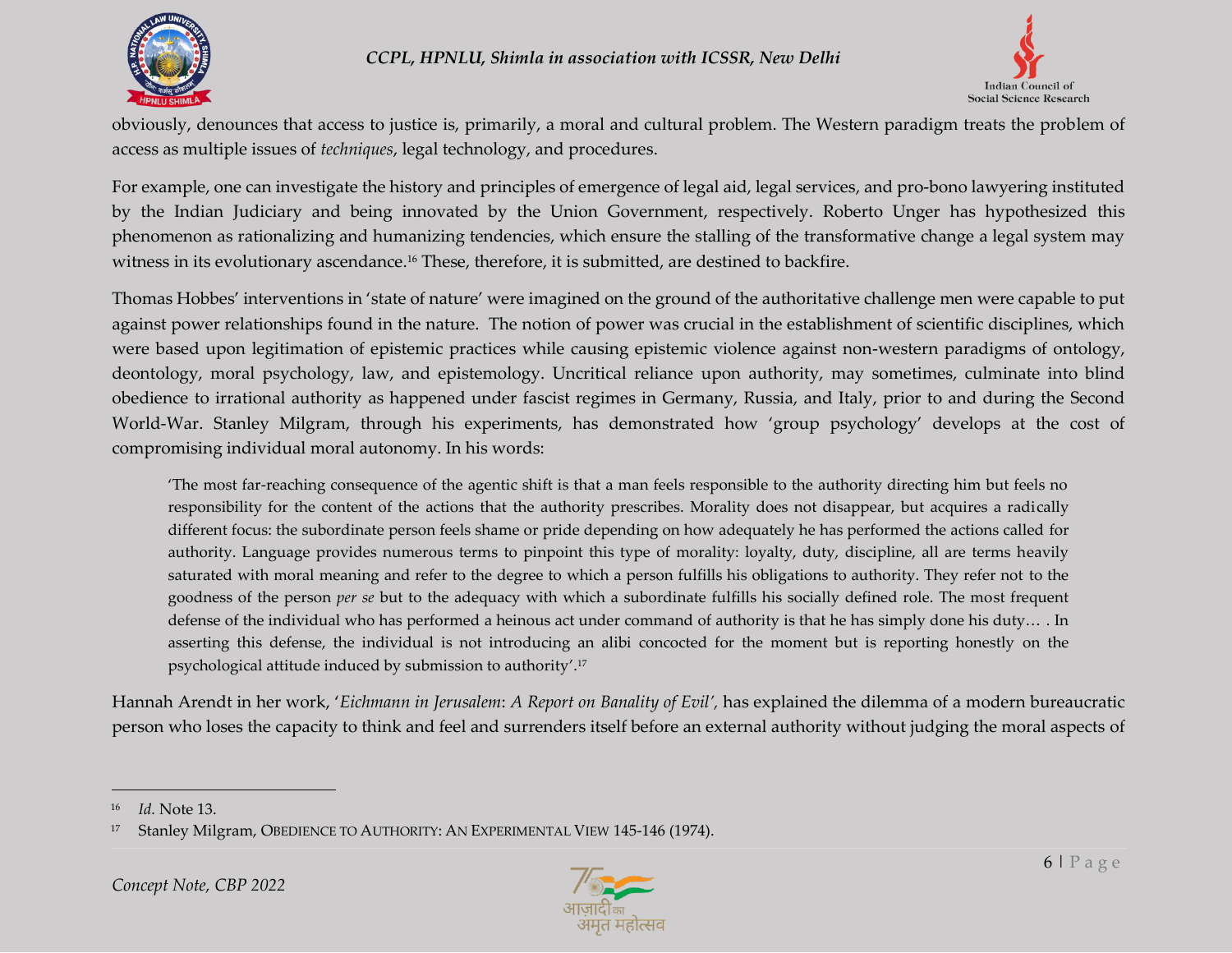



obviously, denounces that access to justice is, primarily, a moral and cultural problem. The Western paradigm treats the problem of access as multiple issues of *techniques*, legal technology, and procedures.

For example, one can investigate the history and principles of emergence of legal aid, legal services, and pro-bono lawyering instituted by the Indian Judiciary and being innovated by the Union Government, respectively. Roberto Unger has hypothesized this phenomenon as rationalizing and humanizing tendencies, which ensure the stalling of the transformative change a legal system may witness in its evolutionary ascendance.<sup>16</sup> These, therefore, it is submitted, are destined to backfire.

Thomas Hobbes' interventions in 'state of nature' were imagined on the ground of the authoritative challenge men were capable to put against power relationships found in the nature. The notion of power was crucial in the establishment of scientific disciplines, which were based upon legitimation of epistemic practices while causing epistemic violence against non-western paradigms of ontology, deontology, moral psychology, law, and epistemology. Uncritical reliance upon authority, may sometimes, culminate into blind obedience to irrational authority as happened under fascist regimes in Germany, Russia, and Italy, prior to and during the Second World-War. Stanley Milgram, through his experiments, has demonstrated how 'group psychology' develops at the cost of compromising individual moral autonomy. In his words:

'The most far-reaching consequence of the agentic shift is that a man feels responsible to the authority directing him but feels no responsibility for the content of the actions that the authority prescribes. Morality does not disappear, but acquires a radically different focus: the subordinate person feels shame or pride depending on how adequately he has performed the actions called for authority. Language provides numerous terms to pinpoint this type of morality: loyalty, duty, discipline, all are terms heavily saturated with moral meaning and refer to the degree to which a person fulfills his obligations to authority. They refer not to the goodness of the person *per se* but to the adequacy with which a subordinate fulfills his socially defined role. The most frequent defense of the individual who has performed a heinous act under command of authority is that he has simply done his duty… . In asserting this defense, the individual is not introducing an alibi concocted for the moment but is reporting honestly on the psychological attitude induced by submission to authority'. 17

Hannah Arendt in her work, '*Eichmann in Jerusalem*: *A Report on Banality of Evil',* has explained the dilemma of a modern bureaucratic person who loses the capacity to think and feel and surrenders itself before an external authority without judging the moral aspects of



<sup>16</sup> *Id.* Note 13.

<sup>17</sup> Stanley Milgram, OBEDIENCE TO AUTHORITY: AN EXPERIMENTAL VIEW 145-146 (1974).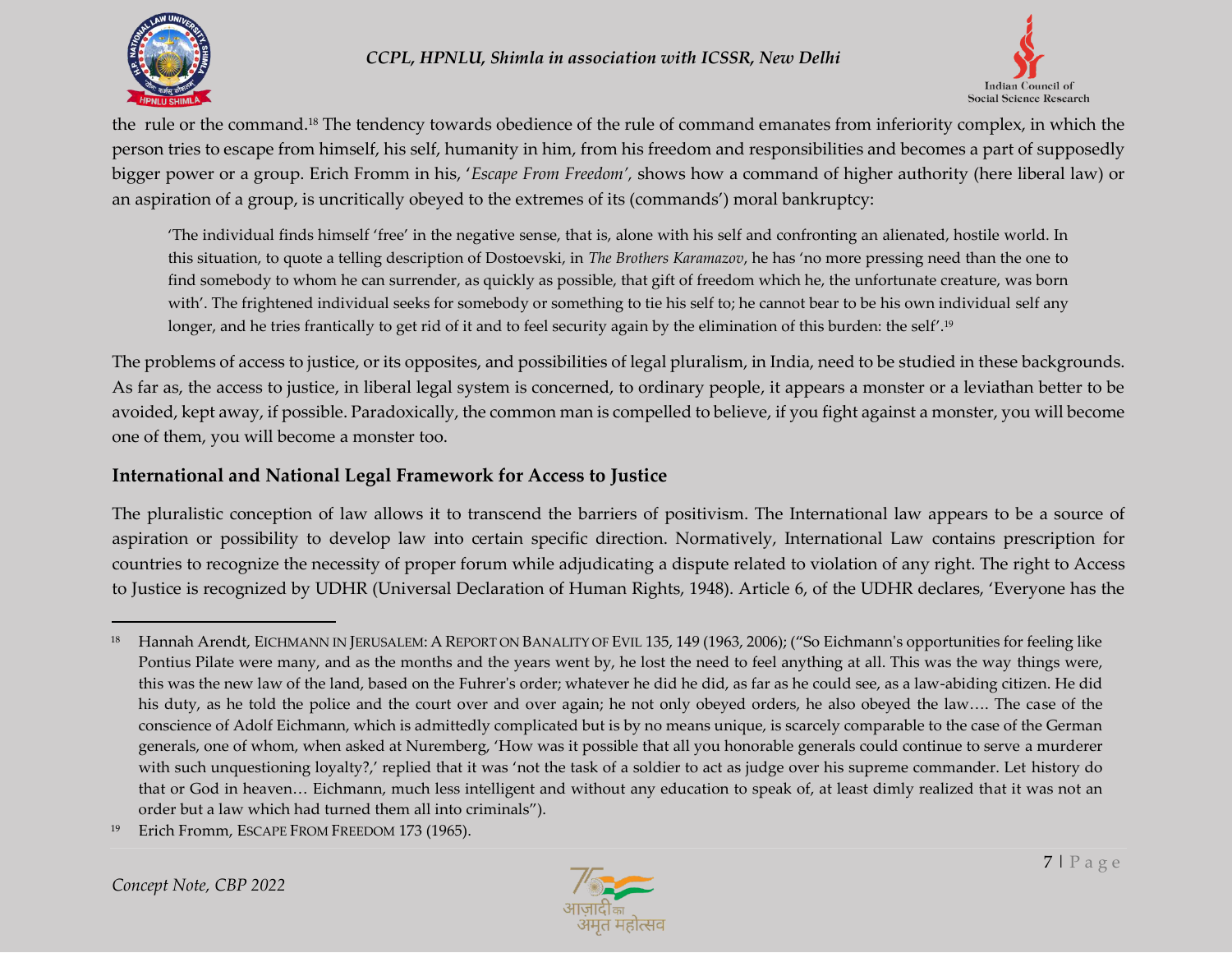



the rule or the command. <sup>18</sup> The tendency towards obedience of the rule of command emanates from inferiority complex, in which the person tries to escape from himself, his self, humanity in him, from his freedom and responsibilities and becomes a part of supposedly bigger power or a group. Erich Fromm in his, '*Escape From Freedom',* shows how a command of higher authority (here liberal law) or an aspiration of a group, is uncritically obeyed to the extremes of its (commands') moral bankruptcy:

'The individual finds himself 'free' in the negative sense, that is, alone with his self and confronting an alienated, hostile world. In this situation, to quote a telling description of Dostoevski, in *The Brothers Karamazov*, he has 'no more pressing need than the one to find somebody to whom he can surrender, as quickly as possible, that gift of freedom which he, the unfortunate creature, was born with'. The frightened individual seeks for somebody or something to tie his self to; he cannot bear to be his own individual self any longer, and he tries frantically to get rid of it and to feel security again by the elimination of this burden: the self'. 19

The problems of access to justice, or its opposites, and possibilities of legal pluralism, in India, need to be studied in these backgrounds. As far as, the access to justice, in liberal legal system is concerned, to ordinary people, it appears a monster or a leviathan better to be avoided, kept away, if possible. Paradoxically, the common man is compelled to believe, if you fight against a monster, you will become one of them, you will become a monster too.

### **International and National Legal Framework for Access to Justice**

The pluralistic conception of law allows it to transcend the barriers of positivism. The International law appears to be a source of aspiration or possibility to develop law into certain specific direction. Normatively, International Law contains prescription for countries to recognize the necessity of proper forum while adjudicating a dispute related to violation of any right. The right to Access to Justice is recognized by UDHR (Universal Declaration of Human Rights, 1948). Article 6, of the UDHR declares, 'Everyone has the



<sup>&</sup>lt;sup>18</sup> Hannah Arendt, EICHMANN IN JERUSALEM: A REPORT ON BANALITY OF EVIL 135, 149 (1963, 2006); ("So Eichmann's opportunities for feeling like Pontius Pilate were many, and as the months and the years went by, he lost the need to feel anything at all. This was the way things were, this was the new law of the land, based on the Fuhrer's order; whatever he did he did, as far as he could see, as a law-abiding citizen. He did his duty, as he told the police and the court over and over again; he not only obeyed orders, he also obeyed the law…. The case of the conscience of Adolf Eichmann, which is admittedly complicated but is by no means unique, is scarcely comparable to the case of the German generals, one of whom, when asked at Nuremberg, 'How was it possible that all you honorable generals could continue to serve a murderer with such unquestioning loyalty?,' replied that it was 'not the task of a soldier to act as judge over his supreme commander. Let history do that or God in heaven… Eichmann, much less intelligent and without any education to speak of, at least dimly realized that it was not an order but a law which had turned them all into criminals").

<sup>&</sup>lt;sup>19</sup> Erich Fromm, ESCAPE FROM FREEDOM 173 (1965).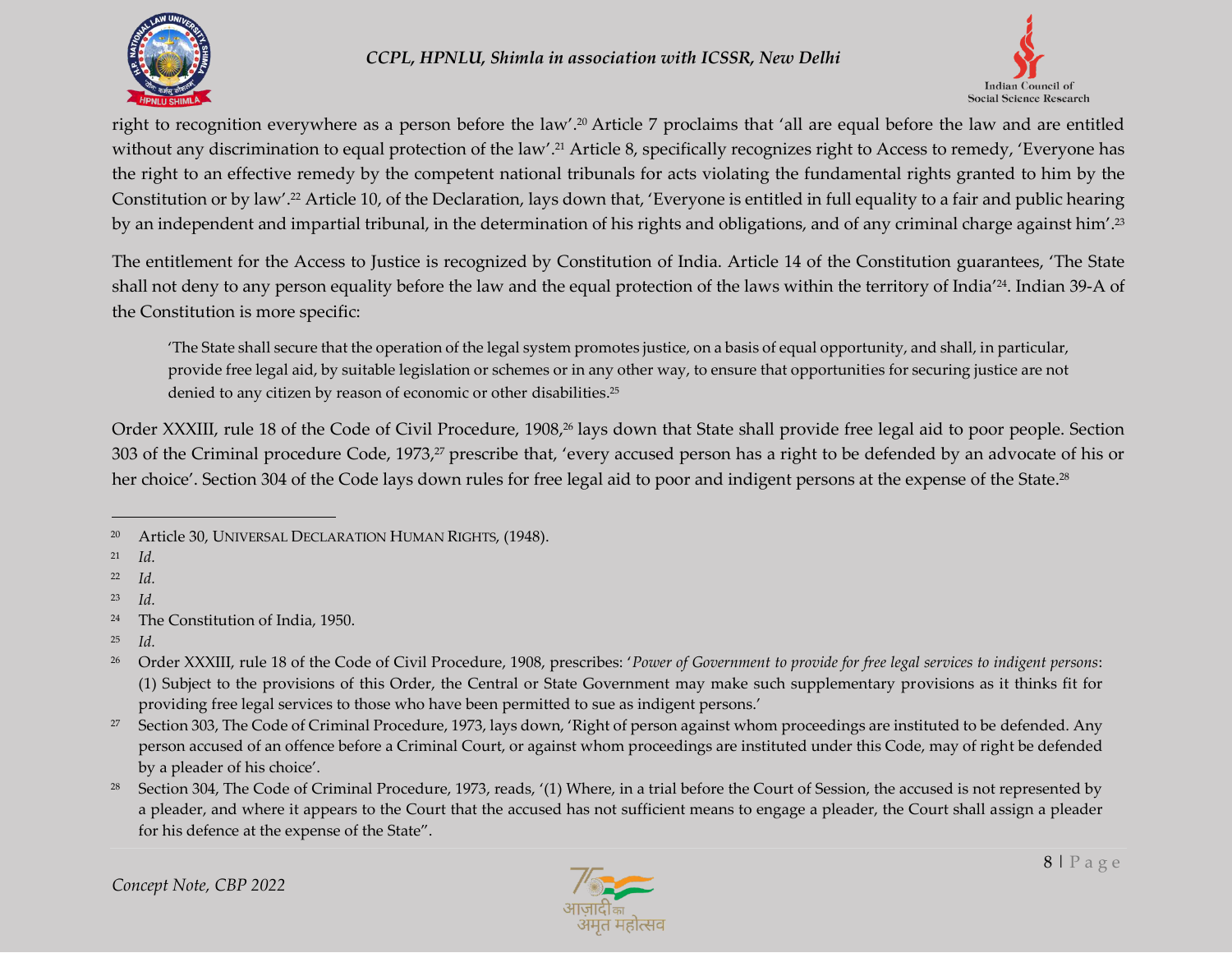



right to recognition everywhere as a person before the law'. <sup>20</sup> Article 7 proclaims that 'all are equal before the law and are entitled without any discrimination to equal protection of the law'. <sup>21</sup> Article 8, specifically recognizes right to Access to remedy, 'Everyone has the right to an effective remedy by the competent national tribunals for acts violating the fundamental rights granted to him by the Constitution or by law'. <sup>22</sup> Article 10, of the Declaration, lays down that, 'Everyone is entitled in full equality to a fair and public hearing by an independent and impartial tribunal, in the determination of his rights and obligations, and of any criminal charge against him'.<sup>23</sup>

The entitlement for the Access to Justice is recognized by Constitution of India. Article 14 of the Constitution guarantees, 'The State shall not deny to any person equality before the law and the equal protection of the laws within the territory of India' 24 . Indian 39-A of the Constitution is more specific:

'The State shall secure that the operation of the legal system promotes justice, on a basis of equal opportunity, and shall, in particular, provide free legal aid, by suitable legislation or schemes or in any other way, to ensure that opportunities for securing justice are not denied to any citizen by reason of economic or other disabilities. 25

Order XXXIII, rule 18 of the Code of Civil Procedure, 1908, <sup>26</sup> lays down that State shall provide free legal aid to poor people. Section 303 of the Criminal procedure Code, 1973,<sup>27</sup> prescribe that, 'every accused person has a right to be defended by an advocate of his or her choice'. Section 304 of the Code lays down rules for free legal aid to poor and indigent persons at the expense of the State. $^{28}$ 



<sup>20</sup> Article 30, UNIVERSAL DECLARATION HUMAN RIGHTS, (1948).

<sup>21</sup> *Id.*

<sup>22</sup> *Id.*

<sup>23</sup> *Id.*

<sup>24</sup> The Constitution of India, 1950.

<sup>25</sup> *Id.*

<sup>26</sup> Order XXXIII, rule 18 of the Code of Civil Procedure, 1908, prescribes: '*Power of Government to provide for free legal services to indigent persons*: (1) Subject to the provisions of this Order, the Central or State Government may make such supplementary provisions as it thinks fit for providing free legal services to those who have been permitted to sue as indigent persons.'

<sup>&</sup>lt;sup>27</sup> Section 303, The Code of Criminal Procedure, 1973, lays down, 'Right of person against whom proceedings are instituted to be defended. Any person accused of an offence before a Criminal Court, or against whom proceedings are instituted under this Code, may of right be defended by a pleader of his choice'.

<sup>&</sup>lt;sup>28</sup> Section 304, The Code of Criminal Procedure, 1973, reads, '(1) Where, in a trial before the Court of Session, the accused is not represented by a pleader, and where it appears to the Court that the accused has not sufficient means to engage a pleader, the Court shall assign a pleader for his defence at the expense of the State".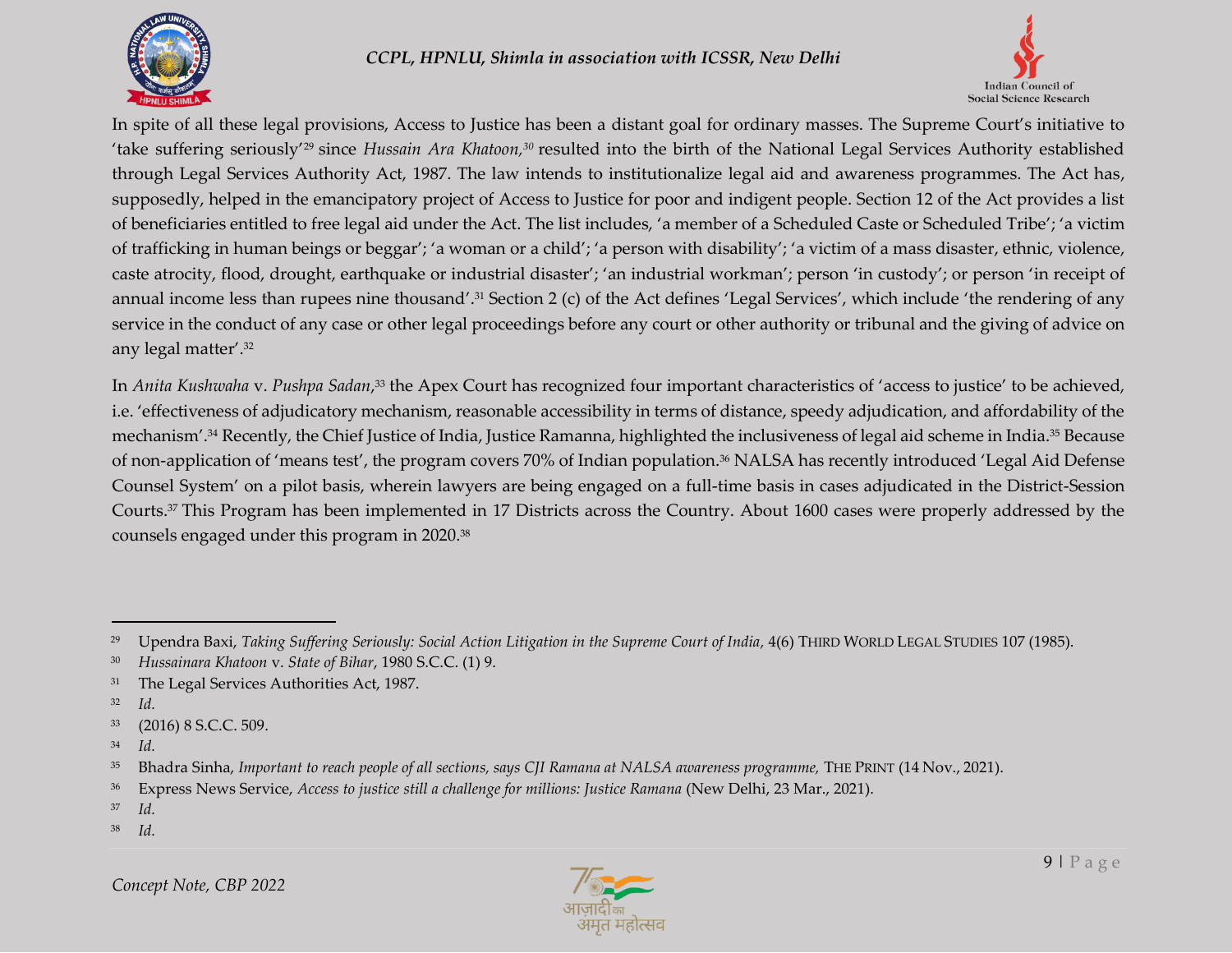



In spite of all these legal provisions, Access to Justice has been a distant goal for ordinary masses. The Supreme Court's initiative to 'take suffering seriously'<sup>29</sup> since *Hussain Ara Khatoon,*<sup>30</sup> resulted into the birth of the National Legal Services Authority established through Legal Services Authority Act, 1987. The law intends to institutionalize legal aid and awareness programmes. The Act has, supposedly, helped in the emancipatory project of Access to Justice for poor and indigent people. Section 12 of the Act provides a list of beneficiaries entitled to free legal aid under the Act. The list includes, 'a member of a Scheduled Caste or Scheduled Tribe'; 'a victim of trafficking in human beings or beggar'; 'a woman or a child'; 'a person with disability'; 'a victim of a mass disaster, ethnic, violence, caste atrocity, flood, drought, earthquake or industrial disaster'; 'an industrial workman'; person 'in custody'; or person 'in receipt of annual income less than rupees nine thousand'. <sup>31</sup> Section 2 (c) of the Act defines 'Legal Services', which include 'the rendering of any service in the conduct of any case or other legal proceedings before any court or other authority or tribunal and the giving of advice on any legal matter'. 32

In *Anita Kushwaha* v. *Pushpa Sadan*, <sup>33</sup> the Apex Court has recognized four important characteristics of 'access to justice' to be achieved, i.e. 'effectiveness of adjudicatory mechanism, reasonable accessibility in terms of distance, speedy adjudication, and affordability of the mechanism'. <sup>34</sup> Recently, the Chief Justice of India, Justice Ramanna, highlighted the inclusiveness of legal aid scheme in India.<sup>35</sup> Because of non-application of 'means test', the program covers 70% of Indian population.<sup>36</sup> NALSA has recently introduced 'Legal Aid Defense Counsel System' on a pilot basis, wherein lawyers are being engaged on a full-time basis in cases adjudicated in the District-Session Courts.<sup>37</sup> This Program has been implemented in 17 Districts across the Country. About 1600 cases were properly addressed by the counsels engaged under this program in 2020.<sup>38</sup>

 $\overline{a}$ 

<sup>38</sup> *Id.*



<sup>29</sup> Upendra Baxi, *Taking Suffering Seriously: Social Action Litigation in the Supreme Court of India,* 4(6) THIRD WORLD LEGAL STUDIES 107 (1985).

<sup>30</sup> *Hussainara Khatoon* v. *State of Bihar*, 1980 S.C.C. (1) 9.

<sup>&</sup>lt;sup>31</sup> The Legal Services Authorities Act, 1987.

<sup>32</sup> *Id.*

<sup>33</sup> (2016) 8 S.C.C. 509.

<sup>34</sup> *Id.*

<sup>35</sup> Bhadra Sinha, *Important to reach people of all sections, says CJI Ramana at NALSA awareness programme,* THE PRINT (14 Nov., 2021).

<sup>36</sup> Express News Service, *Access to justice still a challenge for millions: Justice Ramana* (New Delhi, 23 Mar., 2021).

<sup>37</sup> *Id.*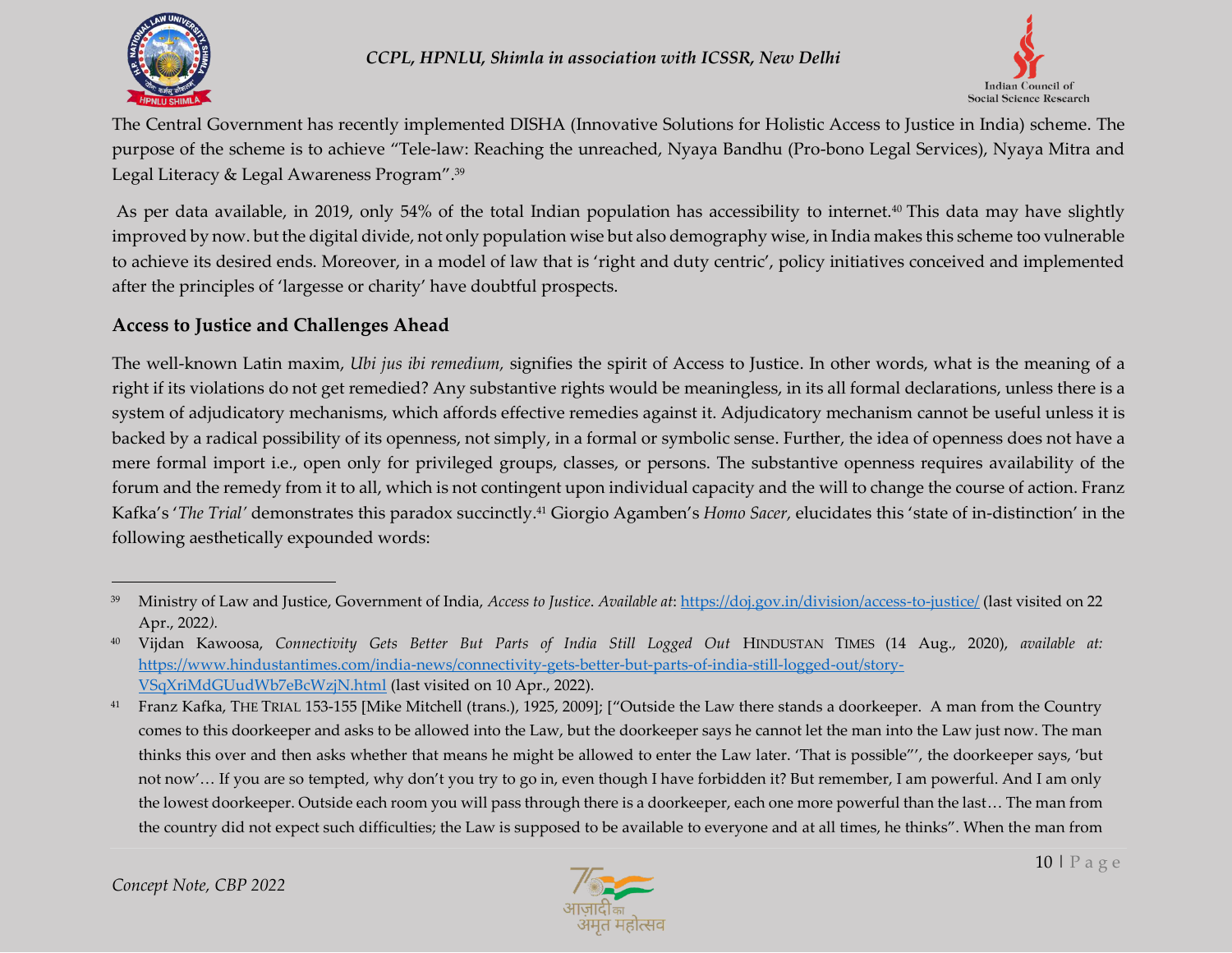



The Central Government has recently implemented DISHA (Innovative Solutions for Holistic Access to Justice in India) scheme. The purpose of the scheme is to achieve "Tele-law: Reaching the unreached, Nyaya Bandhu (Pro-bono Legal Services), Nyaya Mitra and Legal Literacy & Legal Awareness Program".<sup>39</sup>

As per data available, in 2019, only 54% of the total Indian population has accessibility to internet.<sup>40</sup> This data may have slightly improved by now. but the digital divide, not only population wise but also demography wise, in India makes this scheme too vulnerable to achieve its desired ends. Moreover, in a model of law that is 'right and duty centric', policy initiatives conceived and implemented after the principles of 'largesse or charity' have doubtful prospects.

## **Access to Justice and Challenges Ahead**

The well-known Latin maxim, *Ubi jus ibi remedium,* signifies the spirit of Access to Justice. In other words, what is the meaning of a right if its violations do not get remedied? Any substantive rights would be meaningless, in its all formal declarations, unless there is a system of adjudicatory mechanisms, which affords effective remedies against it. Adjudicatory mechanism cannot be useful unless it is backed by a radical possibility of its openness, not simply, in a formal or symbolic sense. Further, the idea of openness does not have a mere formal import i.e., open only for privileged groups, classes, or persons. The substantive openness requires availability of the forum and the remedy from it to all, which is not contingent upon individual capacity and the will to change the course of action. Franz Kafka's '*The Trial'* demonstrates this paradox succinctly.<sup>41</sup> Giorgio Agamben's *Homo Sacer,* elucidates this 'state of in-distinction' in the following aesthetically expounded words:



<sup>39</sup> Ministry of Law and Justice, Government of India, *Access to Justice*. *Available at*[: https://doj.gov.in/division/access-to-justice/](https://doj.gov.in/division/access-to-justice/) (last visited on 22 Apr., 2022*).* 

<sup>40</sup> Vijdan Kawoosa, *Connectivity Gets Better But Parts of India Still Logged Out* HINDUSTAN TIMES (14 Aug., 2020), *available at:* [https://www.hindustantimes.com/india-news/connectivity-gets-better-but-parts-of-india-still-logged-out/story-](https://www.hindustantimes.com/india-news/connectivity-gets-better-but-parts-of-india-still-logged-out/story-VSqXriMdGUudWb7eBcWzjN.html)[VSqXriMdGUudWb7eBcWzjN.html](https://www.hindustantimes.com/india-news/connectivity-gets-better-but-parts-of-india-still-logged-out/story-VSqXriMdGUudWb7eBcWzjN.html) (last visited on 10 Apr., 2022).

<sup>41</sup> Franz Kafka, THE TRIAL 153-155 [Mike Mitchell (trans.), 1925, 2009]; ["Outside the Law there stands a doorkeeper. A man from the Country comes to this doorkeeper and asks to be allowed into the Law, but the doorkeeper says he cannot let the man into the Law just now. The man thinks this over and then asks whether that means he might be allowed to enter the Law later. 'That is possible"', the doorkeeper says, 'but not now'… If you are so tempted, why don't you try to go in, even though I have forbidden it? But remember, I am powerful. And I am only the lowest doorkeeper. Outside each room you will pass through there is a doorkeeper, each one more powerful than the last… The man from the country did not expect such difficulties; the Law is supposed to be available to everyone and at all times, he thinks". When the man from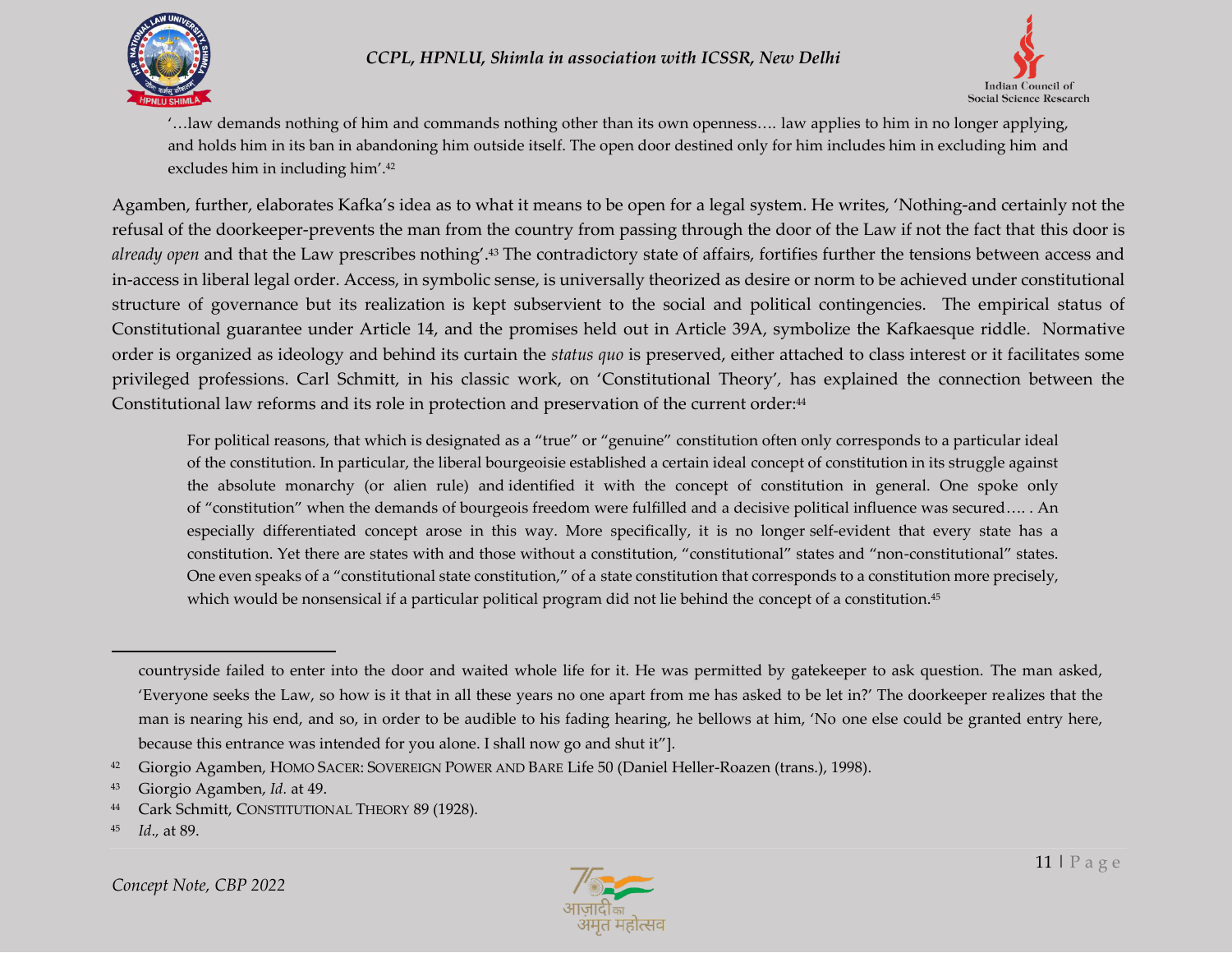



'…law demands nothing of him and commands nothing other than its own openness…. law applies to him in no longer applying, and holds him in its ban in abandoning him outside itself. The open door destined only for him includes him in excluding him and excludes him in including him'. 42

Agamben, further, elaborates Kafka's idea as to what it means to be open for a legal system. He writes, 'Nothing-and certainly not the refusal of the doorkeeper-prevents the man from the country from passing through the door of the Law if not the fact that this door is *already open* and that the Law prescribes nothing'. <sup>43</sup> The contradictory state of affairs, fortifies further the tensions between access and in-access in liberal legal order. Access, in symbolic sense, is universally theorized as desire or norm to be achieved under constitutional structure of governance but its realization is kept subservient to the social and political contingencies. The empirical status of Constitutional guarantee under Article 14, and the promises held out in Article 39A, symbolize the Kafkaesque riddle. Normative order is organized as ideology and behind its curtain the *status quo* is preserved, either attached to class interest or it facilitates some privileged professions. Carl Schmitt, in his classic work, on 'Constitutional Theory'*,* has explained the connection between the Constitutional law reforms and its role in protection and preservation of the current order: 44

For political reasons, that which is designated as a "true" or "genuine" constitution often only corresponds to a particular ideal of the constitution. In particular, the liberal bourgeoisie established a certain ideal concept of constitution in its struggle against the absolute monarchy (or alien rule) and identified it with the concept of constitution in general. One spoke only of "constitution" when the demands of bourgeois freedom were fulfilled and a decisive political influence was secured…. . An especially differentiated concept arose in this way. More specifically, it is no longer self-evident that every state has a constitution. Yet there are states with and those without a constitution, "constitutional" states and "non-constitutional" states. One even speaks of a "constitutional state constitution," of a state constitution that corresponds to a constitution more precisely, which would be nonsensical if a particular political program did not lie behind the concept of a constitution.<sup>45</sup>



countryside failed to enter into the door and waited whole life for it. He was permitted by gatekeeper to ask question. The man asked, 'Everyone seeks the Law, so how is it that in all these years no one apart from me has asked to be let in?' The doorkeeper realizes that the man is nearing his end, and so, in order to be audible to his fading hearing, he bellows at him, 'No one else could be granted entry here, because this entrance was intended for you alone. I shall now go and shut it"].

<sup>42</sup> Giorgio Agamben, HOMO SACER: SOVEREIGN POWER AND BARE Life 50 (Daniel Heller-Roazen (trans.), 1998).

<sup>43</sup> Giorgio Agamben, *Id.* at 49.

<sup>44</sup> Cark Schmitt, CONSTITUTIONAL THEORY 89 (1928).

<sup>45</sup> *Id*.*,* at 89.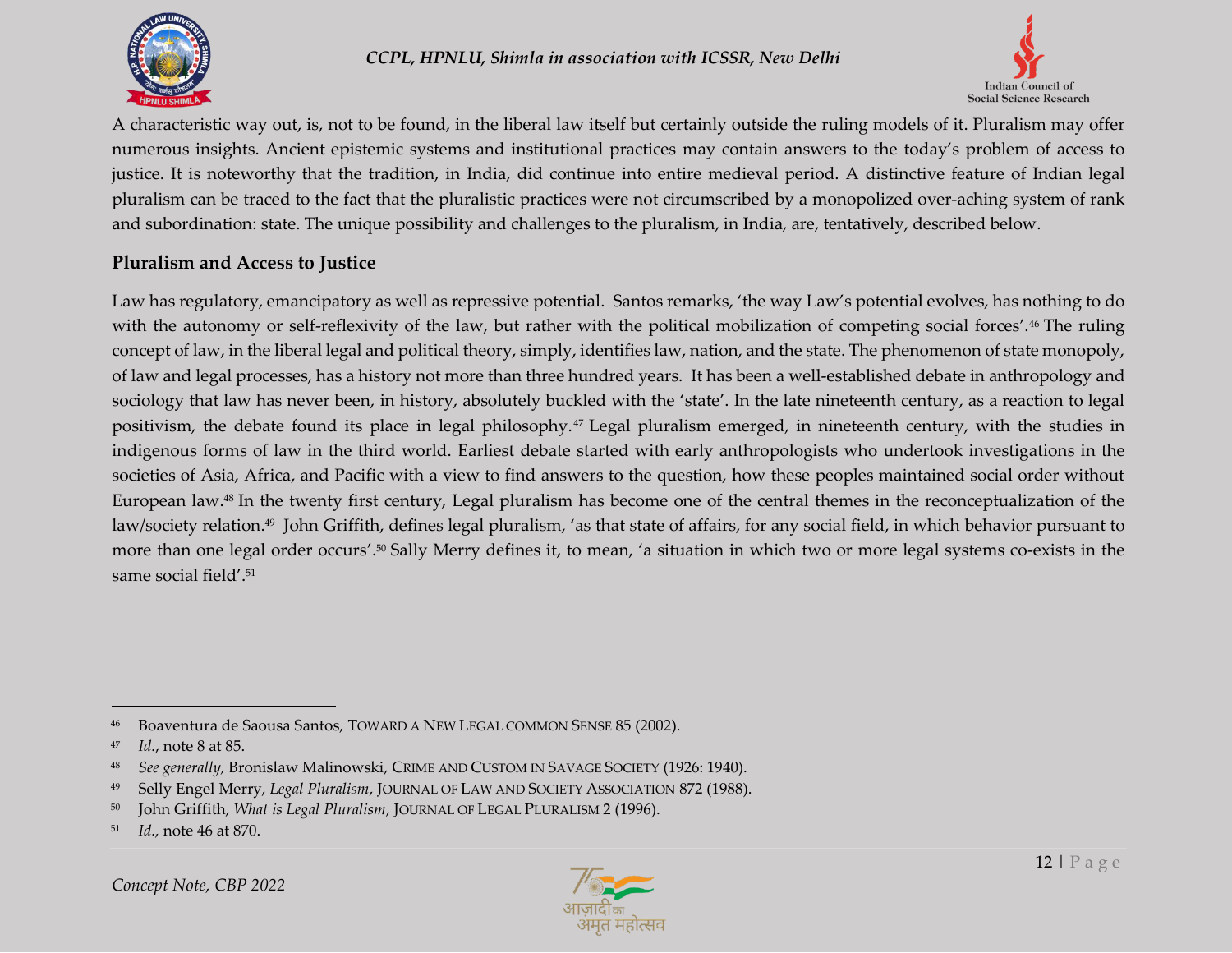



A characteristic way out, is, not to be found, in the liberal law itself but certainly outside the ruling models of it. Pluralism may offer numerous insights. Ancient epistemic systems and institutional practices may contain answers to the today's problem of access to justice. It is noteworthy that the tradition, in India, did continue into entire medieval period. A distinctive feature of Indian legal pluralism can be traced to the fact that the pluralistic practices were not circumscribed by a monopolized over-aching system of rank and subordination: state. The unique possibility and challenges to the pluralism, in India, are, tentatively, described below.

#### **Pluralism and Access to Justice**

Law has regulatory, emancipatory as well as repressive potential. Santos remarks, 'the way Law's potential evolves, has nothing to do with the autonomy or self-reflexivity of the law, but rather with the political mobilization of competing social forces'.<sup>46</sup> The ruling concept of law, in the liberal legal and political theory, simply, identifies law, nation, and the state. The phenomenon of state monopoly, of law and legal processes, has a history not more than three hundred years. It has been a well-established debate in anthropology and sociology that law has never been, in history, absolutely buckled with the 'state'. In the late nineteenth century, as a reaction to legal positivism, the debate found its place in legal philosophy. <sup>47</sup> Legal pluralism emerged, in nineteenth century, with the studies in indigenous forms of law in the third world. Earliest debate started with early anthropologists who undertook investigations in the societies of Asia, Africa, and Pacific with a view to find answers to the question, how these peoples maintained social order without European law. <sup>48</sup> In the twenty first century, Legal pluralism has become one of the central themes in the reconceptualization of the law/society relation. <sup>49</sup> John Griffith, defines legal pluralism, 'as that state of affairs, for any social field, in which behavior pursuant to more than one legal order occurs'. <sup>50</sup> Sally Merry defines it, to mean, 'a situation in which two or more legal systems co-exists in the same social field'. 51



<sup>46</sup> Boaventura de Saousa Santos, TOWARD A NEW LEGAL COMMON SENSE 85 (2002).

<sup>47</sup> *Id.*, note 8 at 85.

<sup>48</sup> *See generally,* Bronislaw Malinowski, CRIME AND CUSTOM IN SAVAGE SOCIETY (1926: 1940).

<sup>49</sup> Selly Engel Merry, *Legal Pluralism*, JOURNAL OF LAW AND SOCIETY ASSOCIATION 872 (1988).

<sup>50</sup> John Griffith, *What is Legal Pluralism*, JOURNAL OF LEGAL PLURALISM 2 (1996).

<sup>51</sup> *Id.,* note 46 at 870.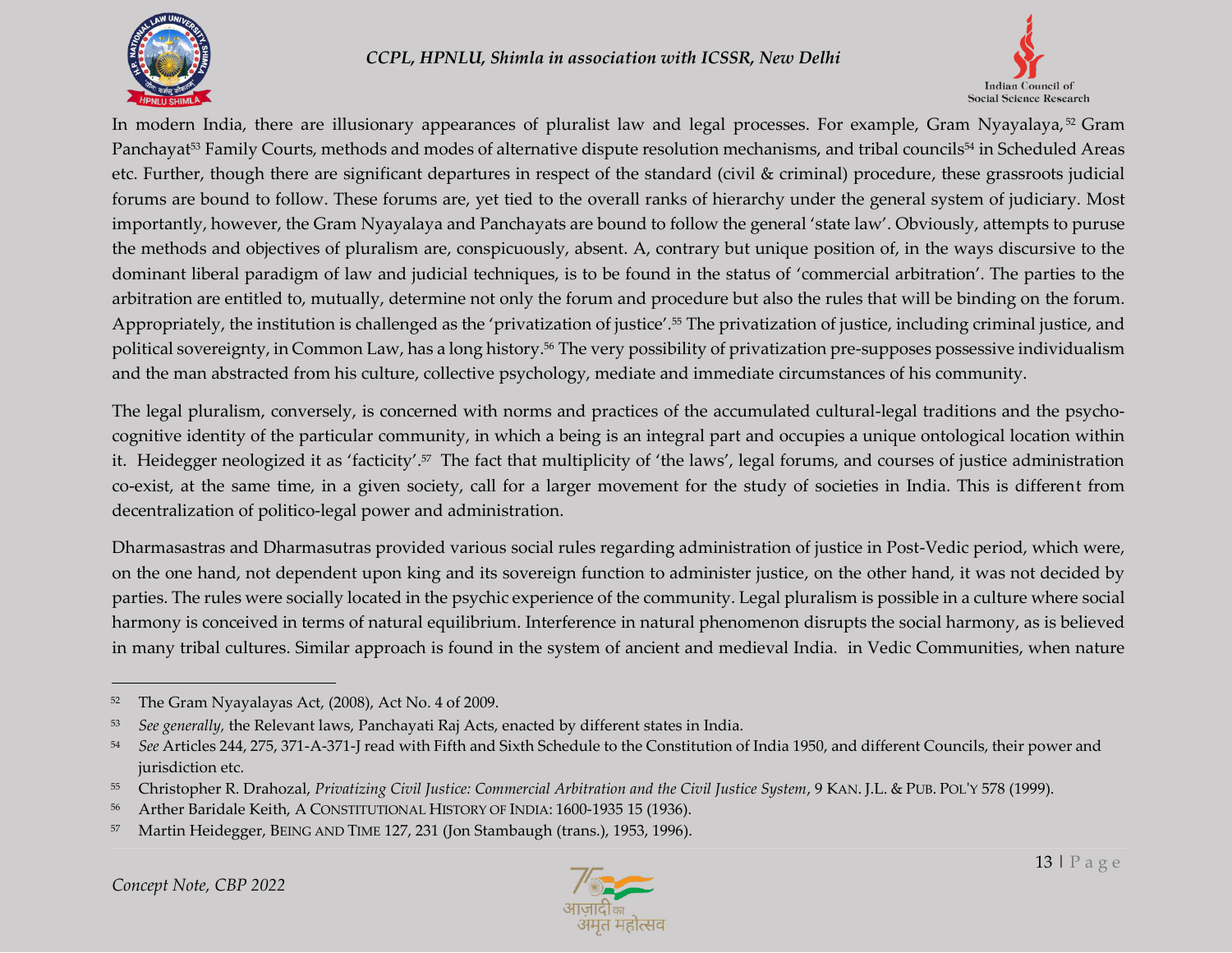



In modern India, there are illusionary appearances of pluralist law and legal processes. For example, Gram Nyayalaya,<sup>52</sup> Gram Panchayat<sup>53</sup> Family Courts, methods and modes of alternative dispute resolution mechanisms, and tribal councils<sup>54</sup> in Scheduled Areas etc. Further, though there are significant departures in respect of the standard (civil & criminal) procedure, these grassroots judicial forums are bound to follow. These forums are, yet tied to the overall ranks of hierarchy under the general system of judiciary. Most importantly, however, the Gram Nyayalaya and Panchayats are bound to follow the general 'state law'. Obviously, attempts to puruse the methods and objectives of pluralism are, conspicuously, absent. A, contrary but unique position of, in the ways discursive to the dominant liberal paradigm of law and judicial techniques, is to be found in the status of 'commercial arbitration'. The parties to the arbitration are entitled to, mutually, determine not only the forum and procedure but also the rules that will be binding on the forum. Appropriately, the institution is challenged as the 'privatization of justice'.<sup>55</sup> The privatization of justice, including criminal justice, and political sovereignty, in Common Law, has a long history.<sup>56</sup> The very possibility of privatization pre-supposes possessive individualism and the man abstracted from his culture, collective psychology, mediate and immediate circumstances of his community.

The legal pluralism, conversely, is concerned with norms and practices of the accumulated cultural-legal traditions and the psychocognitive identity of the particular community, in which a being is an integral part and occupies a unique ontological location within it. Heidegger neologized it as 'facticity'.<sup>57</sup> The fact that multiplicity of 'the laws', legal forums, and courses of justice administration co-exist, at the same time, in a given society, call for a larger movement for the study of societies in India. This is different from decentralization of politico-legal power and administration.

Dharmasastras and Dharmasutras provided various social rules regarding administration of justice in Post-Vedic period, which were, on the one hand, not dependent upon king and its sovereign function to administer justice, on the other hand, it was not decided by parties. The rules were socially located in the psychic experience of the community. Legal pluralism is possible in a culture where social harmony is conceived in terms of natural equilibrium. Interference in natural phenomenon disrupts the social harmony, as is believed in many tribal cultures. Similar approach is found in the system of ancient and medieval India. in Vedic Communities, when nature



<sup>52</sup> The Gram Nyayalayas Act, (2008), Act No. 4 of 2009.

<sup>53</sup> *See generally,* the Relevant laws, Panchayati Raj Acts, enacted by different states in India.

<sup>54</sup> *See* Articles 244, 275, 371-A-371-J read with Fifth and Sixth Schedule to the Constitution of India 1950, and different Councils, their power and jurisdiction etc.

<sup>55</sup> Christopher R. Drahozal, *Privatizing Civil Justice: Commercial Arbitration and the Civil Justice System*, 9 KAN. J.L. & PUB. POL'Y 578 (1999).

<sup>56</sup> Arther Baridale Keith, A CONSTITUTIONAL HISTORY OF INDIA: 1600-1935 15 (1936).

<sup>57</sup> Martin Heidegger, BEING AND TIME 127, 231 (Jon Stambaugh (trans.), 1953, 1996).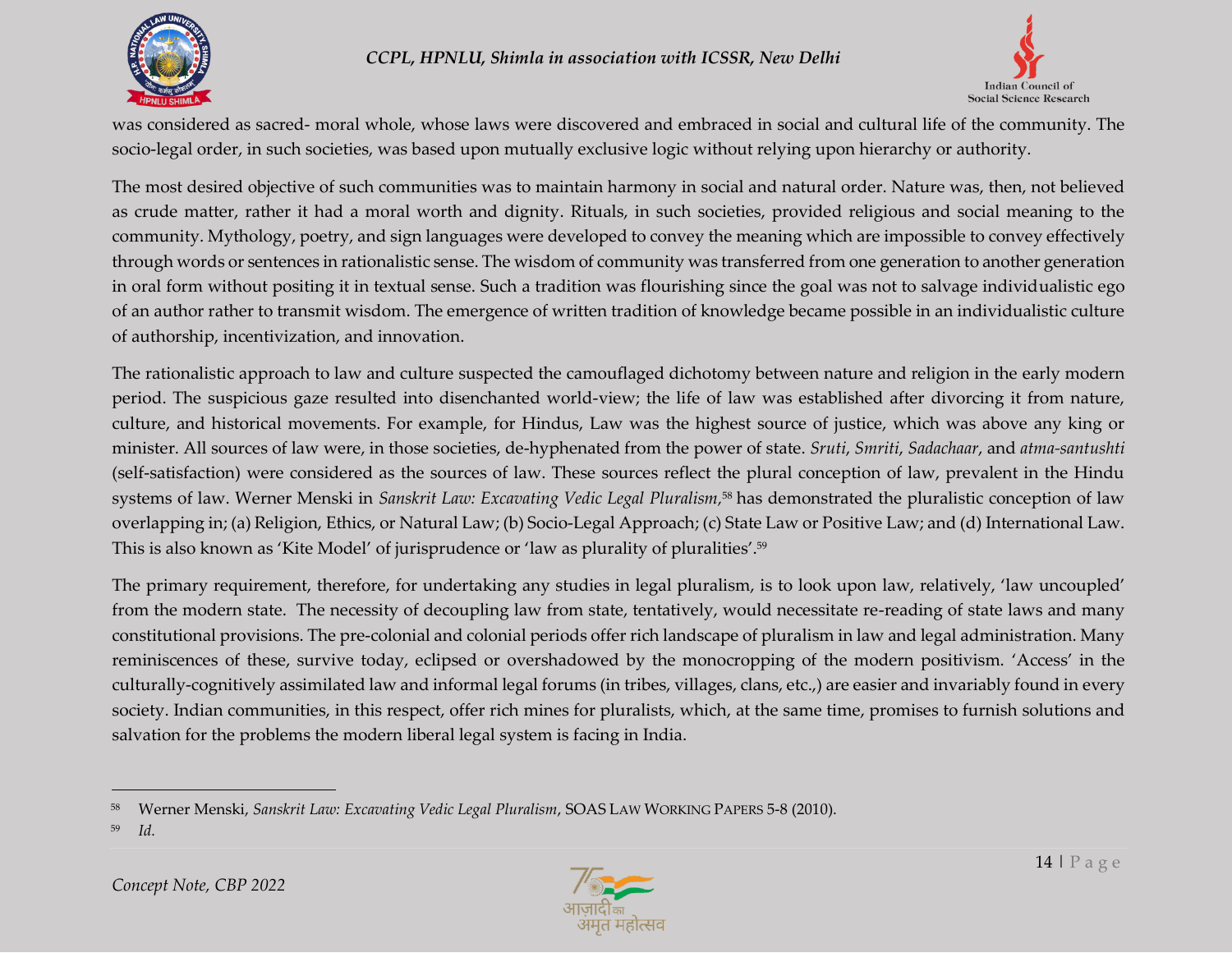



was considered as sacred- moral whole, whose laws were discovered and embraced in social and cultural life of the community. The socio-legal order, in such societies, was based upon mutually exclusive logic without relying upon hierarchy or authority.

The most desired objective of such communities was to maintain harmony in social and natural order. Nature was, then, not believed as crude matter, rather it had a moral worth and dignity. Rituals, in such societies, provided religious and social meaning to the community. Mythology, poetry, and sign languages were developed to convey the meaning which are impossible to convey effectively through words or sentences in rationalistic sense. The wisdom of community was transferred from one generation to another generation in oral form without positing it in textual sense. Such a tradition was flourishing since the goal was not to salvage individualistic ego of an author rather to transmit wisdom. The emergence of written tradition of knowledge became possible in an individualistic culture of authorship, incentivization, and innovation.

The rationalistic approach to law and culture suspected the camouflaged dichotomy between nature and religion in the early modern period. The suspicious gaze resulted into disenchanted world-view; the life of law was established after divorcing it from nature, culture, and historical movements. For example, for Hindus, Law was the highest source of justice, which was above any king or minister. All sources of law were, in those societies, de-hyphenated from the power of state. *Sruti*, *Smriti*, *Sadachaar*, and *atma-santushti* (self-satisfaction) were considered as the sources of law. These sources reflect the plural conception of law, prevalent in the Hindu systems of law. Werner Menski in *Sanskrit Law: Excavating Vedic Legal Pluralism,* <sup>58</sup> has demonstrated the pluralistic conception of law overlapping in; (a) Religion, Ethics, or Natural Law; (b) Socio-Legal Approach; (c) State Law or Positive Law; and (d) International Law. This is also known as 'Kite Model' of jurisprudence or 'law as plurality of pluralities'. 59

The primary requirement, therefore, for undertaking any studies in legal pluralism, is to look upon law, relatively, 'law uncoupled' from the modern state. The necessity of decoupling law from state, tentatively, would necessitate re-reading of state laws and many constitutional provisions. The pre-colonial and colonial periods offer rich landscape of pluralism in law and legal administration. Many reminiscences of these, survive today, eclipsed or overshadowed by the monocropping of the modern positivism. 'Access' in the culturally-cognitively assimilated law and informal legal forums (in tribes, villages, clans, etc.,) are easier and invariably found in every society. Indian communities, in this respect, offer rich mines for pluralists, which, at the same time, promises to furnish solutions and salvation for the problems the modern liberal legal system is facing in India.



<sup>58</sup> Werner Menski, *Sanskrit Law: Excavating Vedic Legal Pluralism*, SOAS LAW WORKING PAPERS 5-8 (2010).

<sup>59</sup> *Id.*